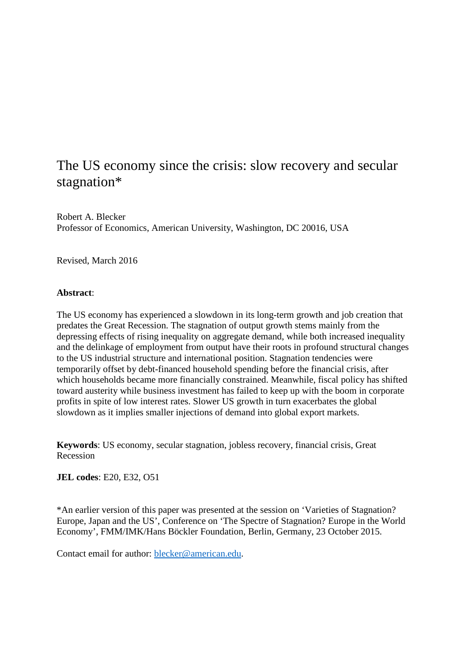# The US economy since the crisis: slow recovery and secular stagnation\*

Robert A. Blecker Professor of Economics, American University, Washington, DC 20016, USA

Revised, March 2016

# **Abstract**:

The US economy has experienced a slowdown in its long-term growth and job creation that predates the Great Recession. The stagnation of output growth stems mainly from the depressing effects of rising inequality on aggregate demand, while both increased inequality and the delinkage of employment from output have their roots in profound structural changes to the US industrial structure and international position. Stagnation tendencies were temporarily offset by debt-financed household spending before the financial crisis, after which households became more financially constrained. Meanwhile, fiscal policy has shifted toward austerity while business investment has failed to keep up with the boom in corporate profits in spite of low interest rates. Slower US growth in turn exacerbates the global slowdown as it implies smaller injections of demand into global export markets.

**Keywords**: US economy, secular stagnation, jobless recovery, financial crisis, Great Recession

**JEL codes**: E20, E32, O51

\*An earlier version of this paper was presented at the session on 'Varieties of Stagnation? Europe, Japan and the US', Conference on 'The Spectre of Stagnation? Europe in the World Economy', FMM/IMK/Hans Böckler Foundation, Berlin, Germany, 23 October 2015.

Contact email for author: [blecker@american.edu.](mailto:blecker@american.edu)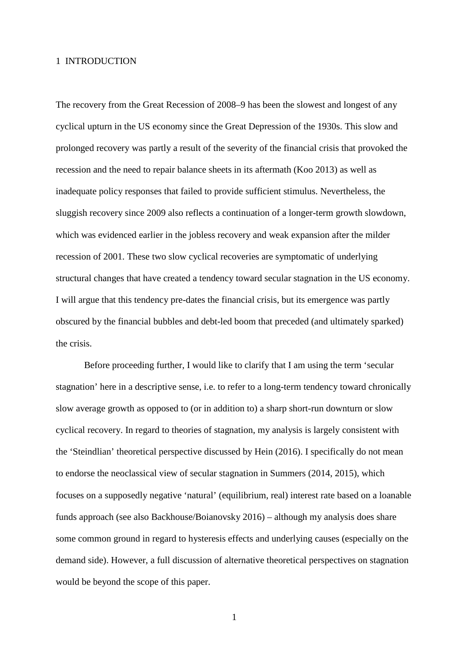#### 1 INTRODUCTION

The recovery from the Great Recession of 2008–9 has been the slowest and longest of any cyclical upturn in the US economy since the Great Depression of the 1930s. This slow and prolonged recovery was partly a result of the severity of the financial crisis that provoked the recession and the need to repair balance sheets in its aftermath (Koo 2013) as well as inadequate policy responses that failed to provide sufficient stimulus. Nevertheless, the sluggish recovery since 2009 also reflects a continuation of a longer-term growth slowdown, which was evidenced earlier in the jobless recovery and weak expansion after the milder recession of 2001. These two slow cyclical recoveries are symptomatic of underlying structural changes that have created a tendency toward secular stagnation in the US economy. I will argue that this tendency pre-dates the financial crisis, but its emergence was partly obscured by the financial bubbles and debt-led boom that preceded (and ultimately sparked) the crisis.

Before proceeding further, I would like to clarify that I am using the term 'secular stagnation' here in a descriptive sense, i.e. to refer to a long-term tendency toward chronically slow average growth as opposed to (or in addition to) a sharp short-run downturn or slow cyclical recovery. In regard to theories of stagnation, my analysis is largely consistent with the 'Steindlian' theoretical perspective discussed by Hein (2016). I specifically do not mean to endorse the neoclassical view of secular stagnation in Summers (2014, 2015), which focuses on a supposedly negative 'natural' (equilibrium, real) interest rate based on a loanable funds approach (see also Backhouse/Boianovsky 2016) – although my analysis does share some common ground in regard to hysteresis effects and underlying causes (especially on the demand side). However, a full discussion of alternative theoretical perspectives on stagnation would be beyond the scope of this paper.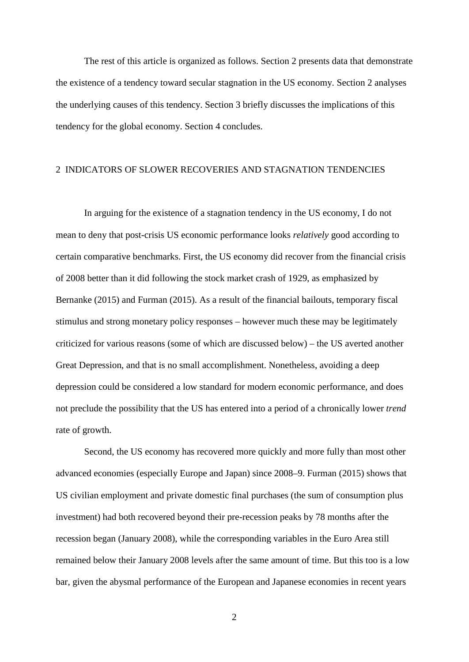The rest of this article is organized as follows. Section 2 presents data that demonstrate the existence of a tendency toward secular stagnation in the US economy. Section 2 analyses the underlying causes of this tendency. Section 3 briefly discusses the implications of this tendency for the global economy. Section 4 concludes.

#### 2 INDICATORS OF SLOWER RECOVERIES AND STAGNATION TENDENCIES

In arguing for the existence of a stagnation tendency in the US economy, I do not mean to deny that post-crisis US economic performance looks *relatively* good according to certain comparative benchmarks. First, the US economy did recover from the financial crisis of 2008 better than it did following the stock market crash of 1929, as emphasized by Bernanke (2015) and Furman (2015). As a result of the financial bailouts, temporary fiscal stimulus and strong monetary policy responses – however much these may be legitimately criticized for various reasons (some of which are discussed below) – the US averted another Great Depression, and that is no small accomplishment. Nonetheless, avoiding a deep depression could be considered a low standard for modern economic performance, and does not preclude the possibility that the US has entered into a period of a chronically lower *trend* rate of growth.

Second, the US economy has recovered more quickly and more fully than most other advanced economies (especially Europe and Japan) since 2008–9. Furman (2015) shows that US civilian employment and private domestic final purchases (the sum of consumption plus investment) had both recovered beyond their pre-recession peaks by 78 months after the recession began (January 2008), while the corresponding variables in the Euro Area still remained below their January 2008 levels after the same amount of time. But this too is a low bar, given the abysmal performance of the European and Japanese economies in recent years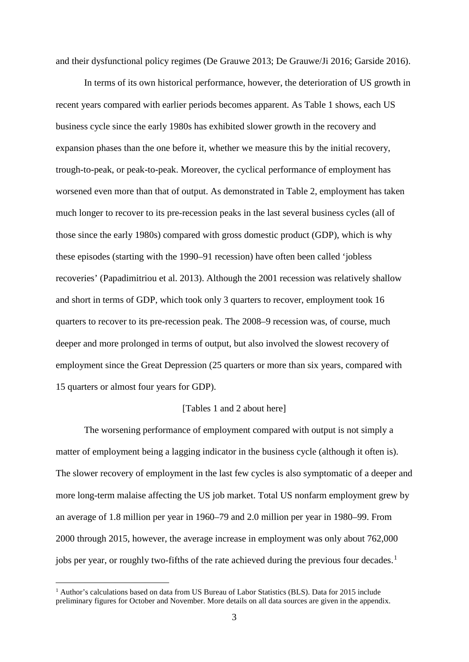and their dysfunctional policy regimes (De Grauwe 2013; De Grauwe/Ji 2016; Garside 2016).

In terms of its own historical performance, however, the deterioration of US growth in recent years compared with earlier periods becomes apparent. As Table 1 shows, each US business cycle since the early 1980s has exhibited slower growth in the recovery and expansion phases than the one before it, whether we measure this by the initial recovery, trough-to-peak, or peak-to-peak. Moreover, the cyclical performance of employment has worsened even more than that of output. As demonstrated in Table 2, employment has taken much longer to recover to its pre-recession peaks in the last several business cycles (all of those since the early 1980s) compared with gross domestic product (GDP), which is why these episodes (starting with the 1990–91 recession) have often been called 'jobless recoveries' (Papadimitriou et al. 2013). Although the 2001 recession was relatively shallow and short in terms of GDP, which took only 3 quarters to recover, employment took 16 quarters to recover to its pre-recession peak. The 2008–9 recession was, of course, much deeper and more prolonged in terms of output, but also involved the slowest recovery of employment since the Great Depression (25 quarters or more than six years, compared with 15 quarters or almost four years for GDP).

#### [Tables 1 and 2 about here]

The worsening performance of employment compared with output is not simply a matter of employment being a lagging indicator in the business cycle (although it often is). The slower recovery of employment in the last few cycles is also symptomatic of a deeper and more long-term malaise affecting the US job market. Total US nonfarm employment grew by an average of 1.8 million per year in 1960–79 and 2.0 million per year in 1980–99. From 2000 through 2015, however, the average increase in employment was only about 762,000 jobs per year, or roughly two-fifths of the rate achieved during the previous four decades.<sup>[1](#page-3-0)</sup>

<span id="page-3-0"></span> <sup>1</sup> Author's calculations based on data from US Bureau of Labor Statistics (BLS). Data for 2015 include preliminary figures for October and November. More details on all data sources are given in the appendix.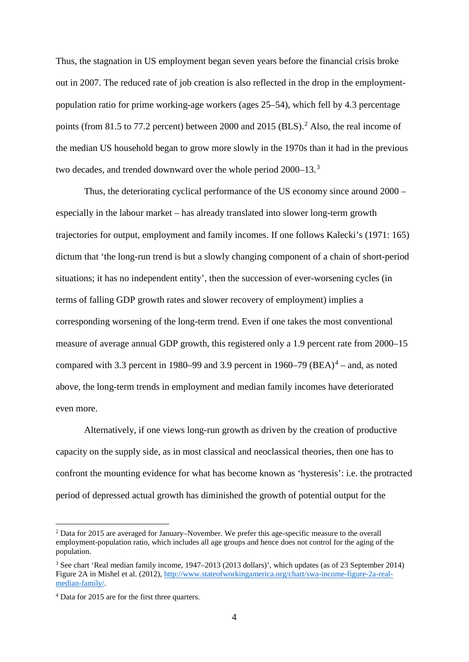Thus, the stagnation in US employment began seven years before the financial crisis broke out in 2007. The reduced rate of job creation is also reflected in the drop in the employmentpopulation ratio for prime working-age workers (ages 25–54), which fell by 4.3 percentage points (from 81.5 to 77.[2](#page-4-0) percent) between 2000 and 2015 (BLS).<sup>2</sup> Also, the real income of the median US household began to grow more slowly in the 1970s than it had in the previous two decades, and trended downward over the whole period 2000–1[3](#page-4-1).<sup>3</sup>

Thus, the deteriorating cyclical performance of the US economy since around 2000 – especially in the labour market – has already translated into slower long-term growth trajectories for output, employment and family incomes. If one follows Kalecki's (1971: 165) dictum that 'the long-run trend is but a slowly changing component of a chain of short-period situations; it has no independent entity', then the succession of ever-worsening cycles (in terms of falling GDP growth rates and slower recovery of employment) implies a corresponding worsening of the long-term trend. Even if one takes the most conventional measure of average annual GDP growth, this registered only a 1.9 percent rate from 2000–15 compared with 3.3 percent in 1980–99 and 3.9 percent in 1960–79  $(BEA)^4$  $(BEA)^4$  – and, as noted above, the long-term trends in employment and median family incomes have deteriorated even more.

Alternatively, if one views long-run growth as driven by the creation of productive capacity on the supply side, as in most classical and neoclassical theories, then one has to confront the mounting evidence for what has become known as 'hysteresis': i.e. the protracted period of depressed actual growth has diminished the growth of potential output for the

<span id="page-4-0"></span> <sup>2</sup> Data for 2015 are averaged for January–November. We prefer this age-specific measure to the overall employment-population ratio, which includes all age groups and hence does not control for the aging of the population.

<span id="page-4-1"></span><sup>3</sup> See chart 'Real median family income, 1947–2013 (2013 dollars)', which updates (as of 23 September 2014) Figure 2A in Mishel et al. (2012)[, http://www.stateofworkingamerica.org/chart/swa-income-figure-2a-real](http://www.stateofworkingamerica.org/chart/swa-income-figure-2a-real-median-family/)[median-family/.](http://www.stateofworkingamerica.org/chart/swa-income-figure-2a-real-median-family/)

<span id="page-4-2"></span><sup>4</sup> Data for 2015 are for the first three quarters.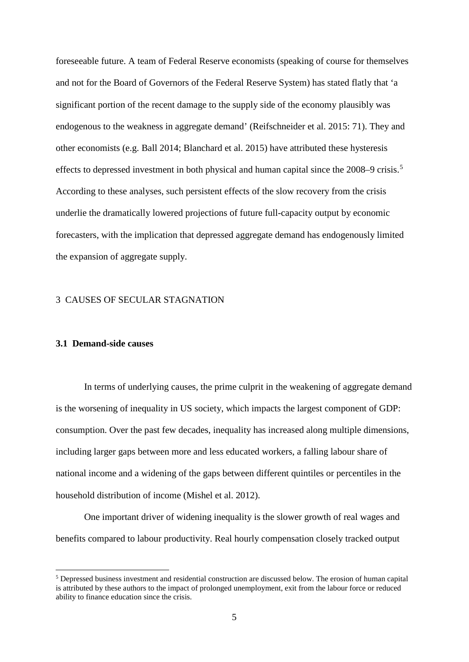foreseeable future. A team of Federal Reserve economists (speaking of course for themselves and not for the Board of Governors of the Federal Reserve System) has stated flatly that 'a significant portion of the recent damage to the supply side of the economy plausibly was endogenous to the weakness in aggregate demand' (Reifschneider et al. 2015: 71). They and other economists (e.g. Ball 2014; Blanchard et al. 2015) have attributed these hysteresis effects to depressed investment in both physical and human capital since the 2008–9 crisis.<sup>[5](#page-5-0)</sup> According to these analyses, such persistent effects of the slow recovery from the crisis underlie the dramatically lowered projections of future full-capacity output by economic forecasters, with the implication that depressed aggregate demand has endogenously limited the expansion of aggregate supply.

# 3 CAUSES OF SECULAR STAGNATION

# **3.1 Demand-side causes**

In terms of underlying causes, the prime culprit in the weakening of aggregate demand is the worsening of inequality in US society, which impacts the largest component of GDP: consumption. Over the past few decades, inequality has increased along multiple dimensions, including larger gaps between more and less educated workers, a falling labour share of national income and a widening of the gaps between different quintiles or percentiles in the household distribution of income (Mishel et al. 2012).

One important driver of widening inequality is the slower growth of real wages and benefits compared to labour productivity. Real hourly compensation closely tracked output

<span id="page-5-0"></span> <sup>5</sup> Depressed business investment and residential construction are discussed below. The erosion of human capital is attributed by these authors to the impact of prolonged unemployment, exit from the labour force or reduced ability to finance education since the crisis.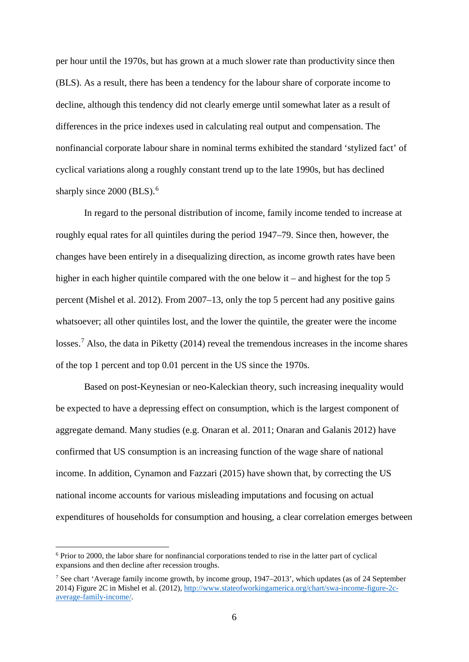per hour until the 1970s, but has grown at a much slower rate than productivity since then (BLS). As a result, there has been a tendency for the labour share of corporate income to decline, although this tendency did not clearly emerge until somewhat later as a result of differences in the price indexes used in calculating real output and compensation. The nonfinancial corporate labour share in nominal terms exhibited the standard 'stylized fact' of cyclical variations along a roughly constant trend up to the late 1990s, but has declined sharply since 2000 (BLS).<sup>[6](#page-6-0)</sup>

In regard to the personal distribution of income, family income tended to increase at roughly equal rates for all quintiles during the period 1947–79. Since then, however, the changes have been entirely in a disequalizing direction, as income growth rates have been higher in each higher quintile compared with the one below it – and highest for the top 5 percent (Mishel et al. 2012). From 2007–13, only the top 5 percent had any positive gains whatsoever; all other quintiles lost, and the lower the quintile, the greater were the income losses.<sup>[7](#page-6-1)</sup> Also, the data in Piketty (2014) reveal the tremendous increases in the income shares of the top 1 percent and top 0.01 percent in the US since the 1970s.

Based on post-Keynesian or neo-Kaleckian theory, such increasing inequality would be expected to have a depressing effect on consumption, which is the largest component of aggregate demand. Many studies (e.g. Onaran et al. 2011; Onaran and Galanis 2012) have confirmed that US consumption is an increasing function of the wage share of national income. In addition, Cynamon and Fazzari (2015) have shown that, by correcting the US national income accounts for various misleading imputations and focusing on actual expenditures of households for consumption and housing, a clear correlation emerges between

<span id="page-6-0"></span> <sup>6</sup> Prior to 2000, the labor share for nonfinancial corporations tended to rise in the latter part of cyclical expansions and then decline after recession troughs.

<span id="page-6-1"></span><sup>7</sup> See chart 'Average family income growth, by income group, 1947–2013', which updates (as of 24 September 2014) Figure 2C in Mishel et al. (2012)[, http://www.stateofworkingamerica.org/chart/swa-income-figure-2c](http://www.stateofworkingamerica.org/chart/swa-income-figure-2c-average-family-income/)[average-family-income/.](http://www.stateofworkingamerica.org/chart/swa-income-figure-2c-average-family-income/)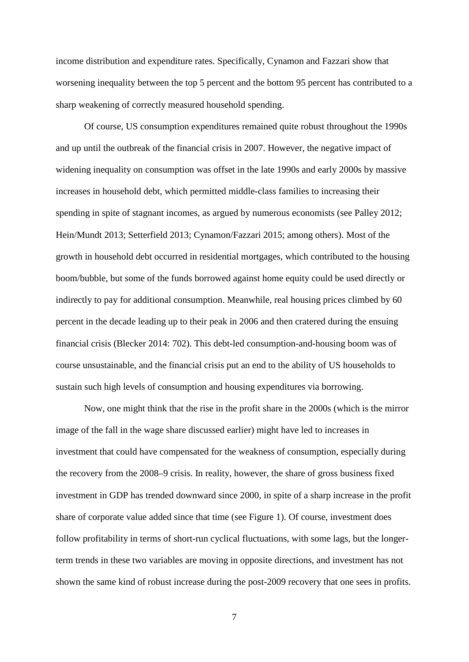income distribution and expenditure rates. Specifically, Cynamon and Fazzari show that worsening inequality between the top 5 percent and the bottom 95 percent has contributed to a sharp weakening of correctly measured household spending.

Of course, US consumption expenditures remained quite robust throughout the 1990s and up until the outbreak of the financial crisis in 2007. However, the negative impact of widening inequality on consumption was offset in the late 1990s and early 2000s by massive increases in household debt, which permitted middle-class families to increasing their spending in spite of stagnant incomes, as argued by numerous economists (see Palley 2012; Hein/Mundt 2013; Setterfield 2013; Cynamon/Fazzari 2015; among others). Most of the growth in household debt occurred in residential mortgages, which contributed to the housing boom/bubble, but some of the funds borrowed against home equity could be used directly or indirectly to pay for additional consumption. Meanwhile, real housing prices climbed by 60 percent in the decade leading up to their peak in 2006 and then cratered during the ensuing financial crisis (Blecker 2014: 702). This debt-led consumption-and-housing boom was of course unsustainable, and the financial crisis put an end to the ability of US households to sustain such high levels of consumption and housing expenditures via borrowing.

Now, one might think that the rise in the profit share in the 2000s (which is the mirror image of the fall in the wage share discussed earlier) might have led to increases in investment that could have compensated for the weakness of consumption, especially during the recovery from the 2008–9 crisis. In reality, however, the share of gross business fixed investment in GDP has trended downward since 2000, in spite of a sharp increase in the profit share of corporate value added since that time (see Figure 1). Of course, investment does follow profitability in terms of short-run cyclical fluctuations, with some lags, but the longerterm trends in these two variables are moving in opposite directions, and investment has not shown the same kind of robust increase during the post-2009 recovery that one sees in profits.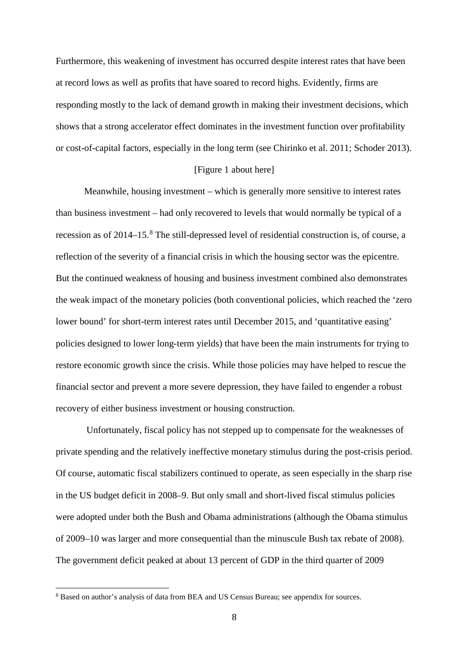Furthermore, this weakening of investment has occurred despite interest rates that have been at record lows as well as profits that have soared to record highs. Evidently, firms are responding mostly to the lack of demand growth in making their investment decisions, which shows that a strong accelerator effect dominates in the investment function over profitability or cost-of-capital factors, especially in the long term (see Chirinko et al. 2011; Schoder 2013).

## [Figure 1 about here]

Meanwhile, housing investment – which is generally more sensitive to interest rates than business investment – had only recovered to levels that would normally be typical of a recession as of 2014–15. [8](#page-8-0) The still-depressed level of residential construction is, of course, a reflection of the severity of a financial crisis in which the housing sector was the epicentre. But the continued weakness of housing and business investment combined also demonstrates the weak impact of the monetary policies (both conventional policies, which reached the 'zero lower bound' for short-term interest rates until December 2015, and 'quantitative easing' policies designed to lower long-term yields) that have been the main instruments for trying to restore economic growth since the crisis. While those policies may have helped to rescue the financial sector and prevent a more severe depression, they have failed to engender a robust recovery of either business investment or housing construction.

Unfortunately, fiscal policy has not stepped up to compensate for the weaknesses of private spending and the relatively ineffective monetary stimulus during the post-crisis period. Of course, automatic fiscal stabilizers continued to operate, as seen especially in the sharp rise in the US budget deficit in 2008–9. But only small and short-lived fiscal stimulus policies were adopted under both the Bush and Obama administrations (although the Obama stimulus of 2009–10 was larger and more consequential than the minuscule Bush tax rebate of 2008). The government deficit peaked at about 13 percent of GDP in the third quarter of 2009

<span id="page-8-0"></span> <sup>8</sup> Based on author's analysis of data from BEA and US Census Bureau; see appendix for sources.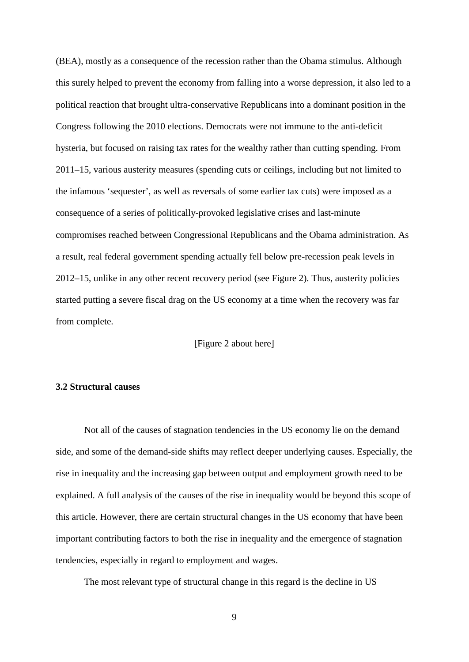(BEA), mostly as a consequence of the recession rather than the Obama stimulus. Although this surely helped to prevent the economy from falling into a worse depression, it also led to a political reaction that brought ultra-conservative Republicans into a dominant position in the Congress following the 2010 elections. Democrats were not immune to the anti-deficit hysteria, but focused on raising tax rates for the wealthy rather than cutting spending. From 2011–15, various austerity measures (spending cuts or ceilings, including but not limited to the infamous 'sequester', as well as reversals of some earlier tax cuts) were imposed as a consequence of a series of politically-provoked legislative crises and last-minute compromises reached between Congressional Republicans and the Obama administration. As a result, real federal government spending actually fell below pre-recession peak levels in 2012–15, unlike in any other recent recovery period (see Figure 2). Thus, austerity policies started putting a severe fiscal drag on the US economy at a time when the recovery was far from complete.

[Figure 2 about here]

# **3.2 Structural causes**

Not all of the causes of stagnation tendencies in the US economy lie on the demand side, and some of the demand-side shifts may reflect deeper underlying causes. Especially, the rise in inequality and the increasing gap between output and employment growth need to be explained. A full analysis of the causes of the rise in inequality would be beyond this scope of this article. However, there are certain structural changes in the US economy that have been important contributing factors to both the rise in inequality and the emergence of stagnation tendencies, especially in regard to employment and wages.

The most relevant type of structural change in this regard is the decline in US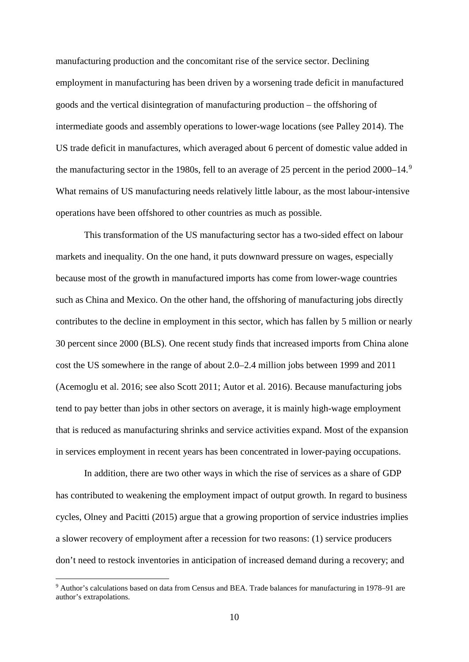manufacturing production and the concomitant rise of the service sector. Declining employment in manufacturing has been driven by a worsening trade deficit in manufactured goods and the vertical disintegration of manufacturing production – the offshoring of intermediate goods and assembly operations to lower-wage locations (see Palley 2014). The US trade deficit in manufactures, which averaged about 6 percent of domestic value added in the manufacturing sector in the 1[9](#page-10-0)80s, fell to an average of 25 percent in the period 2000–14.<sup>9</sup> What remains of US manufacturing needs relatively little labour, as the most labour-intensive operations have been offshored to other countries as much as possible.

This transformation of the US manufacturing sector has a two-sided effect on labour markets and inequality. On the one hand, it puts downward pressure on wages, especially because most of the growth in manufactured imports has come from lower-wage countries such as China and Mexico. On the other hand, the offshoring of manufacturing jobs directly contributes to the decline in employment in this sector, which has fallen by 5 million or nearly 30 percent since 2000 (BLS). One recent study finds that increased imports from China alone cost the US somewhere in the range of about 2.0–2.4 million jobs between 1999 and 2011 (Acemoglu et al. 2016; see also Scott 2011; Autor et al. 2016). Because manufacturing jobs tend to pay better than jobs in other sectors on average, it is mainly high-wage employment that is reduced as manufacturing shrinks and service activities expand. Most of the expansion in services employment in recent years has been concentrated in lower-paying occupations.

In addition, there are two other ways in which the rise of services as a share of GDP has contributed to weakening the employment impact of output growth. In regard to business cycles, Olney and Pacitti (2015) argue that a growing proportion of service industries implies a slower recovery of employment after a recession for two reasons: (1) service producers don't need to restock inventories in anticipation of increased demand during a recovery; and

<span id="page-10-0"></span><sup>&</sup>lt;sup>9</sup> Author's calculations based on data from Census and BEA. Trade balances for manufacturing in 1978–91 are author's extrapolations.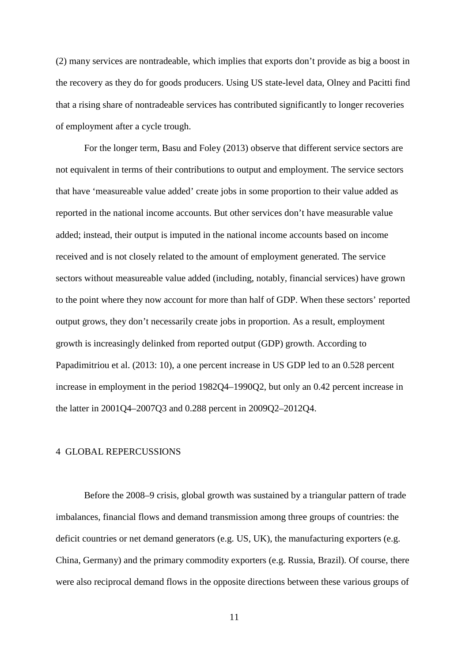(2) many services are nontradeable, which implies that exports don't provide as big a boost in the recovery as they do for goods producers. Using US state-level data, Olney and Pacitti find that a rising share of nontradeable services has contributed significantly to longer recoveries of employment after a cycle trough.

For the longer term, Basu and Foley (2013) observe that different service sectors are not equivalent in terms of their contributions to output and employment. The service sectors that have 'measureable value added' create jobs in some proportion to their value added as reported in the national income accounts. But other services don't have measurable value added; instead, their output is imputed in the national income accounts based on income received and is not closely related to the amount of employment generated. The service sectors without measureable value added (including, notably, financial services) have grown to the point where they now account for more than half of GDP. When these sectors' reported output grows, they don't necessarily create jobs in proportion. As a result, employment growth is increasingly delinked from reported output (GDP) growth. According to Papadimitriou et al. (2013: 10), a one percent increase in US GDP led to an 0.528 percent increase in employment in the period 1982Q4–1990Q2, but only an 0.42 percent increase in the latter in 2001Q4–2007Q3 and 0.288 percent in 2009Q2–2012Q4.

## 4 GLOBAL REPERCUSSIONS

Before the 2008–9 crisis, global growth was sustained by a triangular pattern of trade imbalances, financial flows and demand transmission among three groups of countries: the deficit countries or net demand generators (e.g. US, UK), the manufacturing exporters (e.g. China, Germany) and the primary commodity exporters (e.g. Russia, Brazil). Of course, there were also reciprocal demand flows in the opposite directions between these various groups of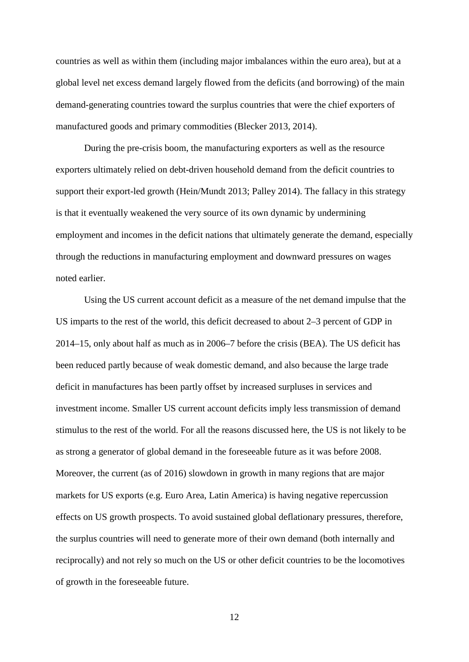countries as well as within them (including major imbalances within the euro area), but at a global level net excess demand largely flowed from the deficits (and borrowing) of the main demand-generating countries toward the surplus countries that were the chief exporters of manufactured goods and primary commodities (Blecker 2013, 2014).

During the pre-crisis boom, the manufacturing exporters as well as the resource exporters ultimately relied on debt-driven household demand from the deficit countries to support their export-led growth (Hein/Mundt 2013; Palley 2014). The fallacy in this strategy is that it eventually weakened the very source of its own dynamic by undermining employment and incomes in the deficit nations that ultimately generate the demand, especially through the reductions in manufacturing employment and downward pressures on wages noted earlier.

Using the US current account deficit as a measure of the net demand impulse that the US imparts to the rest of the world, this deficit decreased to about 2–3 percent of GDP in 2014–15, only about half as much as in 2006–7 before the crisis (BEA). The US deficit has been reduced partly because of weak domestic demand, and also because the large trade deficit in manufactures has been partly offset by increased surpluses in services and investment income. Smaller US current account deficits imply less transmission of demand stimulus to the rest of the world. For all the reasons discussed here, the US is not likely to be as strong a generator of global demand in the foreseeable future as it was before 2008. Moreover, the current (as of 2016) slowdown in growth in many regions that are major markets for US exports (e.g. Euro Area, Latin America) is having negative repercussion effects on US growth prospects. To avoid sustained global deflationary pressures, therefore, the surplus countries will need to generate more of their own demand (both internally and reciprocally) and not rely so much on the US or other deficit countries to be the locomotives of growth in the foreseeable future.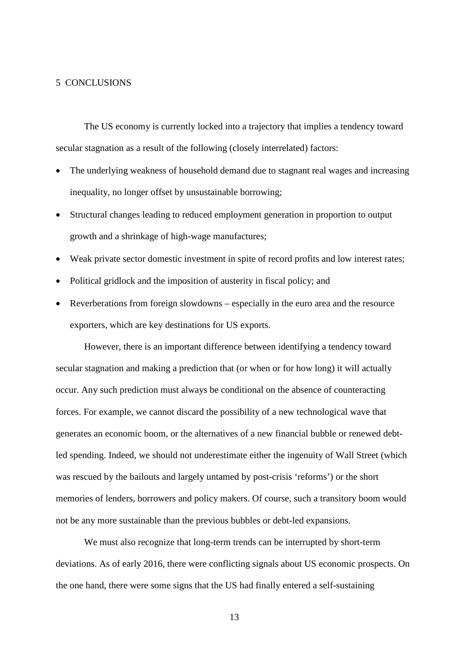## 5 CONCLUSIONS

The US economy is currently locked into a trajectory that implies a tendency toward secular stagnation as a result of the following (closely interrelated) factors:

- The underlying weakness of household demand due to stagnant real wages and increasing inequality, no longer offset by unsustainable borrowing;
- Structural changes leading to reduced employment generation in proportion to output growth and a shrinkage of high-wage manufactures;
- Weak private sector domestic investment in spite of record profits and low interest rates;
- Political gridlock and the imposition of austerity in fiscal policy; and
- Reverberations from foreign slowdowns especially in the euro area and the resource exporters, which are key destinations for US exports.

However, there is an important difference between identifying a tendency toward secular stagnation and making a prediction that (or when or for how long) it will actually occur. Any such prediction must always be conditional on the absence of counteracting forces. For example, we cannot discard the possibility of a new technological wave that generates an economic boom, or the alternatives of a new financial bubble or renewed debtled spending. Indeed, we should not underestimate either the ingenuity of Wall Street (which was rescued by the bailouts and largely untamed by post-crisis 'reforms') or the short memories of lenders, borrowers and policy makers. Of course, such a transitory boom would not be any more sustainable than the previous bubbles or debt-led expansions.

We must also recognize that long-term trends can be interrupted by short-term deviations. As of early 2016, there were conflicting signals about US economic prospects. On the one hand, there were some signs that the US had finally entered a self-sustaining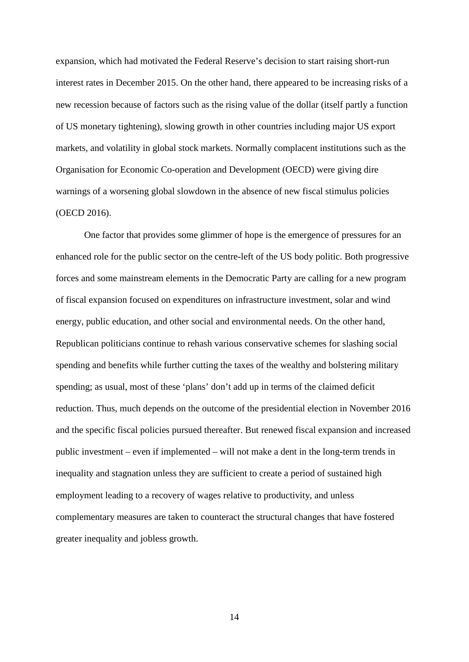expansion, which had motivated the Federal Reserve's decision to start raising short-run interest rates in December 2015. On the other hand, there appeared to be increasing risks of a new recession because of factors such as the rising value of the dollar (itself partly a function of US monetary tightening), slowing growth in other countries including major US export markets, and volatility in global stock markets. Normally complacent institutions such as the Organisation for Economic Co-operation and Development (OECD) were giving dire warnings of a worsening global slowdown in the absence of new fiscal stimulus policies (OECD 2016).

One factor that provides some glimmer of hope is the emergence of pressures for an enhanced role for the public sector on the centre-left of the US body politic. Both progressive forces and some mainstream elements in the Democratic Party are calling for a new program of fiscal expansion focused on expenditures on infrastructure investment, solar and wind energy, public education, and other social and environmental needs. On the other hand, Republican politicians continue to rehash various conservative schemes for slashing social spending and benefits while further cutting the taxes of the wealthy and bolstering military spending; as usual, most of these 'plans' don't add up in terms of the claimed deficit reduction. Thus, much depends on the outcome of the presidential election in November 2016 and the specific fiscal policies pursued thereafter. But renewed fiscal expansion and increased public investment – even if implemented – will not make a dent in the long-term trends in inequality and stagnation unless they are sufficient to create a period of sustained high employment leading to a recovery of wages relative to productivity, and unless complementary measures are taken to counteract the structural changes that have fostered greater inequality and jobless growth.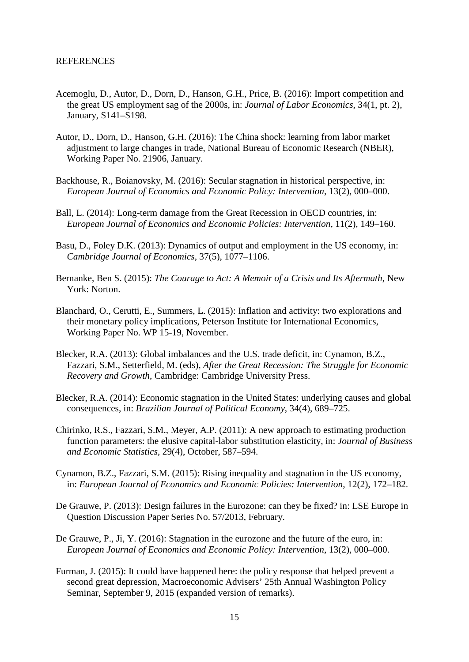- Acemoglu, D., Autor, D., Dorn, D., Hanson, G.H., Price, B. (2016): Import competition and the great US employment sag of the 2000s, in: *Journal of Labor Economics*, 34(1, pt. 2), January, S141–S198.
- Autor, D., Dorn, D., Hanson, G.H. (2016): The China shock: learning from labor market adjustment to large changes in trade, National Bureau of Economic Research (NBER), Working Paper No. 21906, January.
- Backhouse, R., Boianovsky, M. (2016): Secular stagnation in historical perspective, in: *European Journal of Economics and Economic Policy: Intervention*, 13(2), 000–000.
- Ball, L. (2014): Long-term damage from the Great Recession in OECD countries, in: *European Journal of Economics and Economic Policies: Intervention*, 11(2), 149–160.
- Basu, D., Foley D.K. (2013): Dynamics of output and employment in the US economy, in: *Cambridge Journal of Economics*, 37(5), 1077–1106.
- Bernanke, Ben S. (2015): *The Courage to Act: A Memoir of a Crisis and Its Aftermath*, New York: Norton.
- Blanchard, O., Cerutti, E., Summers, L. (2015): Inflation and activity: two explorations and their monetary policy implications, Peterson Institute for International Economics, Working Paper No. WP 15-19, November.
- Blecker, R.A. (2013): Global imbalances and the U.S. trade deficit, in: Cynamon, B.Z., Fazzari, S.M., Setterfield, M. (eds), *After the Great Recession: The Struggle for Economic Recovery and Growth*, Cambridge: Cambridge University Press.
- Blecker, R.A. (2014): Economic stagnation in the United States: underlying causes and global consequences, in: *Brazilian Journal of Political Economy*, 34(4), 689–725.
- Chirinko, R.S., Fazzari, S.M., Meyer, A.P. (2011): A new approach to estimating production function parameters: the elusive capital-labor substitution elasticity, in: *Journal of Business and Economic Statistics*, 29(4), October, 587–594.
- Cynamon, B.Z., Fazzari, S.M. (2015): Rising inequality and stagnation in the US economy, in: *European Journal of Economics and Economic Policies: Intervention*, 12(2), 172–182.
- De Grauwe, P. (2013): Design failures in the Eurozone: can they be fixed? in: LSE Europe in Question Discussion Paper Series No. 57/2013, February.
- De Grauwe, P., Ji, Y. (2016): Stagnation in the eurozone and the future of the euro, in: *European Journal of Economics and Economic Policy: Intervention*, 13(2), 000–000.
- Furman, J. (2015): It could have happened here: the policy response that helped prevent a second great depression, Macroeconomic Advisers' 25th Annual Washington Policy Seminar, September 9, 2015 (expanded version of remarks).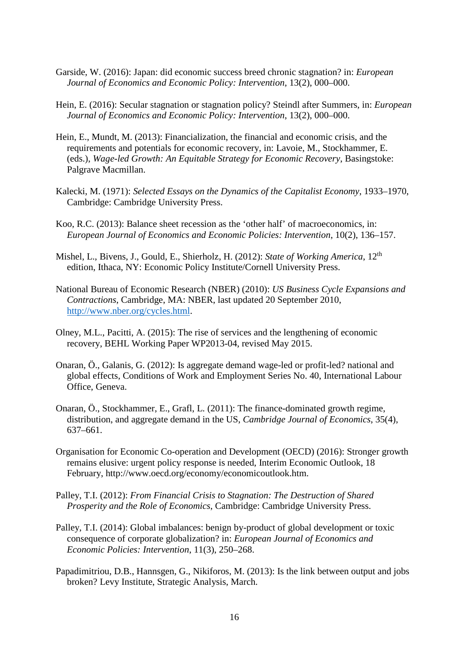- Garside, W. (2016): Japan: did economic success breed chronic stagnation? in: *European Journal of Economics and Economic Policy: Intervention*, 13(2), 000–000.
- Hein, E. (2016): Secular stagnation or stagnation policy? Steindl after Summers, in: *European Journal of Economics and Economic Policy: Intervention*, 13(2), 000–000.
- Hein, E., Mundt, M. (2013): Financialization, the financial and economic crisis, and the requirements and potentials for economic recovery, in: Lavoie, M., Stockhammer, E. (eds.), *Wage-led Growth: An Equitable Strategy for Economic Recovery*, Basingstoke: Palgrave Macmillan.
- Kalecki, M. (1971): *Selected Essays on the Dynamics of the Capitalist Economy*, 1933–1970, Cambridge: Cambridge University Press.
- Koo, R.C. (2013): Balance sheet recession as the 'other half' of macroeconomics, in: *European Journal of Economics and Economic Policies: Intervention*, 10(2), 136–157.
- Mishel, L., Bivens, J., Gould, E., Shierholz, H. (2012): *State of Working America*, 12<sup>th</sup> edition, Ithaca, NY: Economic Policy Institute/Cornell University Press.
- National Bureau of Economic Research (NBER) (2010): *US Business Cycle Expansions and Contractions*, Cambridge, MA: NBER, last updated 20 September 2010, [http://www.nber.org/cycles.html.](http://www.nber.org/cycles.html)
- Olney, M.L., Pacitti, A. (2015): The rise of services and the lengthening of economic recovery, BEHL Working Paper WP2013-04, revised May 2015.
- Onaran, Ö., Galanis, G. (2012): Is aggregate demand wage-led or profit-led? national and global effects, Conditions of Work and Employment Series No. 40, International Labour Office, Geneva.
- Onaran, Ö., Stockhammer, E., Grafl, L. (2011): The finance-dominated growth regime, distribution, and aggregate demand in the US, *Cambridge Journal of Economics*, 35(4), 637–661.
- Organisation for Economic Co-operation and Development (OECD) (2016): Stronger growth remains elusive: urgent policy response is needed, Interim Economic Outlook, 18 February, http://www.oecd.org/economy/economicoutlook.htm.
- Palley, T.I. (2012): *From Financial Crisis to Stagnation: The Destruction of Shared Prosperity and the Role of Economics*, Cambridge: Cambridge University Press.
- Palley, T.I. (2014): Global imbalances: benign by-product of global development or toxic consequence of corporate globalization? in: *European Journal of Economics and Economic Policies: Intervention*, 11(3), 250–268.
- Papadimitriou, D.B., Hannsgen, G., Nikiforos, M. (2013): Is the link between output and jobs broken? Levy Institute, Strategic Analysis, March.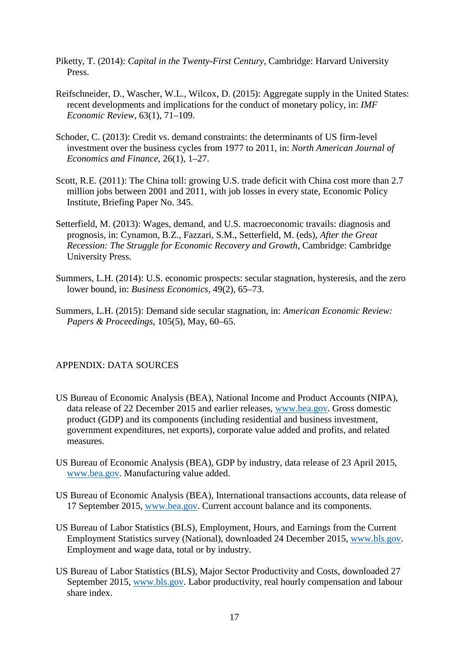- Piketty, T. (2014): *Capital in the Twenty-First Century*, Cambridge: Harvard University Press.
- Reifschneider, D., Wascher, W.L., Wilcox, D. (2015): Aggregate supply in the United States: recent developments and implications for the conduct of monetary policy, in: *IMF Economic Review*, 63(1), 71–109.
- Schoder, C. (2013): Credit vs. demand constraints: the determinants of US firm-level investment over the business cycles from 1977 to 2011, in: *North American Journal of Economics and Finance*, 26(1), 1–27.
- Scott, R.E. (2011): The China toll: growing U.S. trade deficit with China cost more than 2.7 million jobs between 2001 and 2011, with job losses in every state, Economic Policy Institute, Briefing Paper No. 345.
- Setterfield, M. (2013): Wages, demand, and U.S. macroeconomic travails: diagnosis and prognosis, in: Cynamon, B.Z., Fazzari, S.M., Setterfield, M. (eds), *After the Great Recession: The Struggle for Economic Recovery and Growth*, Cambridge: Cambridge University Press.
- Summers, L.H. (2014): U.S. economic prospects: secular stagnation, hysteresis, and the zero lower bound, in: *Business Economics*, 49(2), 65–73.
- Summers, L.H. (2015): Demand side secular stagnation, in: *American Economic Review: Papers & Proceedings*, 105(5), May, 60–65.

# APPENDIX: DATA SOURCES

- US Bureau of Economic Analysis (BEA), National Income and Product Accounts (NIPA), data release of 22 December 2015 and earlier releases, [www.bea.gov.](http://www.bea.gov/) Gross domestic product (GDP) and its components (including residential and business investment, government expenditures, net exports), corporate value added and profits, and related measures.
- US Bureau of Economic Analysis (BEA), GDP by industry, data release of 23 April 2015, [www.bea.gov.](http://www.bea.gov/) Manufacturing value added.
- US Bureau of Economic Analysis (BEA), International transactions accounts, data release of 17 September 2015, [www.bea.gov.](http://www.bea.gov/) Current account balance and its components.
- US Bureau of Labor Statistics (BLS), Employment, Hours, and Earnings from the Current Employment Statistics survey (National), downloaded 24 December 2015, [www.bls.gov.](http://www.bls.gov/) Employment and wage data, total or by industry.
- US Bureau of Labor Statistics (BLS), Major Sector Productivity and Costs, downloaded 27 September 2015, [www.bls.gov.](http://www.bls.gov/) Labor productivity, real hourly compensation and labour share index.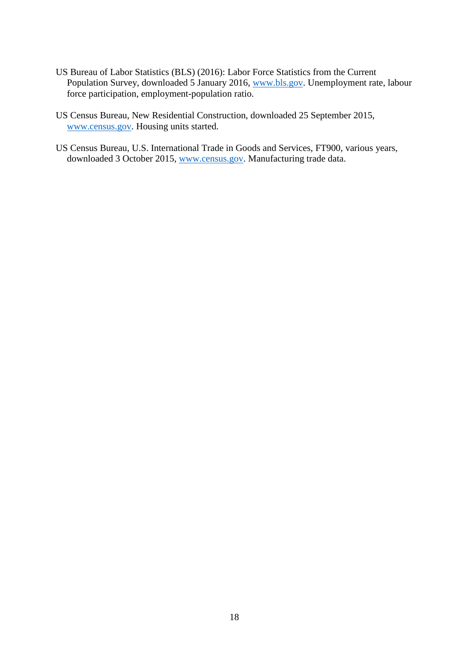- US Bureau of Labor Statistics (BLS) (2016): Labor Force Statistics from the Current Population Survey, downloaded 5 January 2016, [www.bls.gov.](http://www.bls.gov/) Unemployment rate, labour force participation, employment-population ratio.
- US Census Bureau, New Residential Construction, downloaded 25 September 2015, [www.census.gov.](http://www.census.gov/) Housing units started.
- US Census Bureau, U.S. International Trade in Goods and Services, FT900, various years, downloaded 3 October 2015, [www.census.gov.](http://www.census.gov/) Manufacturing trade data.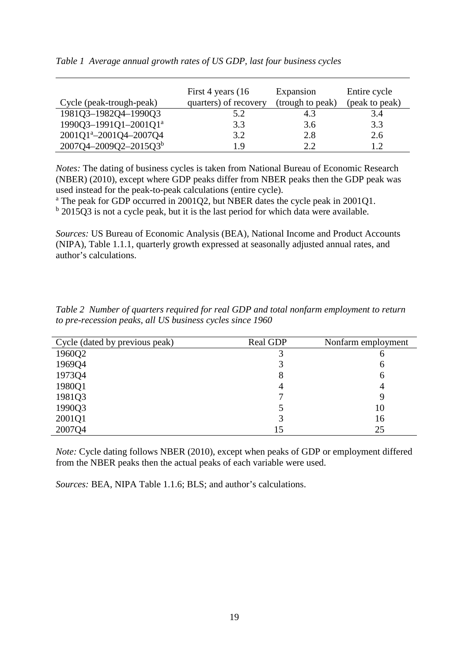| Cycle (peak-trough-peak)           | First 4 years (16)<br>quarters) of recovery | Expansion<br>(trough to peak) | Entire cycle<br>(peak to peak) |
|------------------------------------|---------------------------------------------|-------------------------------|--------------------------------|
|                                    |                                             |                               |                                |
| 1981Q3-1982Q4-1990Q3               | 5.2                                         |                               | 3.4                            |
| 1990Q3-1991Q1-2001Q1ª              | 3.3                                         | 3.6                           | 3.3                            |
| 2001Q1 <sup>a</sup> -2001Q4-2007Q4 | 3.2                                         | 2.8                           | 2.6                            |
| 2007Q4-2009Q2-2015Q3b              | 19                                          | ? ?                           | 1.2                            |

|  | Table 1 Average annual growth rates of US GDP, last four business cycles |  |  |  |  |  |  |
|--|--------------------------------------------------------------------------|--|--|--|--|--|--|
|--|--------------------------------------------------------------------------|--|--|--|--|--|--|

*Notes:* The dating of business cycles is taken from National Bureau of Economic Research (NBER) (2010), except where GDP peaks differ from NBER peaks then the GDP peak was used instead for the peak-to-peak calculations (entire cycle).

<sup>a</sup> The peak for GDP occurred in 2001Q2, but NBER dates the cycle peak in 2001Q1.

 $<sup>b</sup>$  2015Q3 is not a cycle peak, but it is the last period for which data were available.</sup>

*Sources:* US Bureau of Economic Analysis (BEA), National Income and Product Accounts (NIPA), Table 1.1.1, quarterly growth expressed at seasonally adjusted annual rates, and author's calculations.

| Cycle (dated by previous peak) | <b>Real GDP</b> | Nonfarm employment |
|--------------------------------|-----------------|--------------------|
| 1960Q2                         |                 | O                  |
| 1969Q4                         |                 | 6                  |
| 1973Q4                         |                 | 6                  |
| 1980Q1                         |                 | 4                  |
| 1981Q3                         |                 |                    |
| 1990Q3                         |                 | 10                 |
| 2001Q1                         |                 | 16                 |
| 2007Q4                         | 15              | 25                 |

*Table 2 Number of quarters required for real GDP and total nonfarm employment to return to pre-recession peaks, all US business cycles since 1960*

*Note:* Cycle dating follows NBER (2010), except when peaks of GDP or employment differed from the NBER peaks then the actual peaks of each variable were used.

*Sources:* BEA, NIPA Table 1.1.6; BLS; and author's calculations.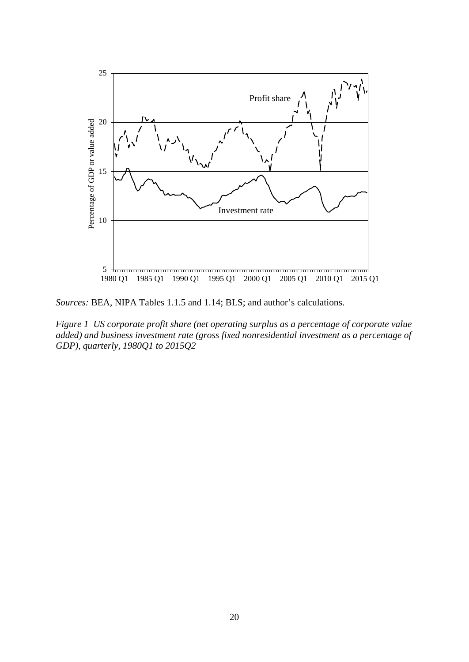

*Sources:* BEA, NIPA Tables 1.1.5 and 1.14; BLS; and author's calculations.

*Figure 1 US corporate profit share (net operating surplus as a percentage of corporate value added) and business investment rate (gross fixed nonresidential investment as a percentage of GDP), quarterly, 1980Q1 to 2015Q2*